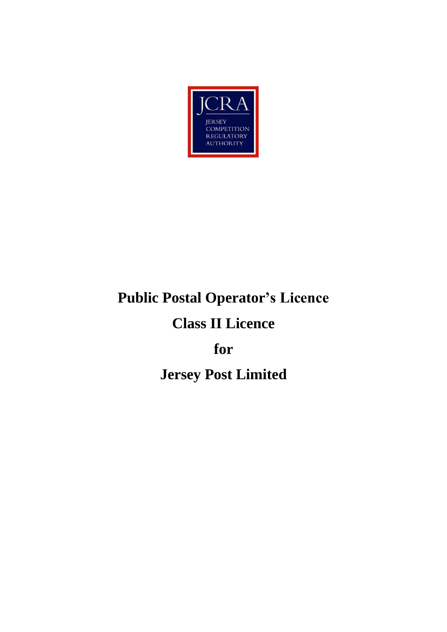

# **Public Postal Operator's Licence**

# **Class II Licence**

# **for**

# **Jersey Post Limited**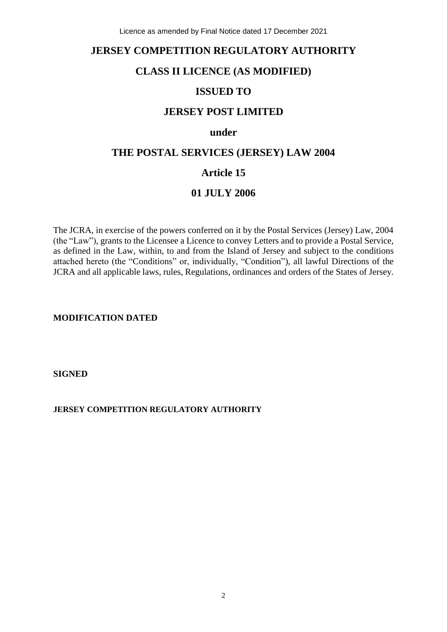# **JERSEY COMPETITION REGULATORY AUTHORITY**

# **CLASS II LICENCE (AS MODIFIED)**

# **ISSUED TO**

# **JERSEY POST LIMITED**

# **under**

# **THE POSTAL SERVICES (JERSEY) LAW 2004**

# **Article 15**

# **01 JULY 2006**

The JCRA, in exercise of the powers conferred on it by the Postal Services (Jersey) Law, 2004 (the "Law"), grants to the Licensee a Licence to convey Letters and to provide a Postal Service, as defined in the Law, within, to and from the Island of Jersey and subject to the conditions attached hereto (the "Conditions" or, individually, "Condition"), all lawful Directions of the JCRA and all applicable laws, rules, Regulations, ordinances and orders of the States of Jersey.

**MODIFICATION DATED**

**SIGNED**

#### **JERSEY COMPETITION REGULATORY AUTHORITY**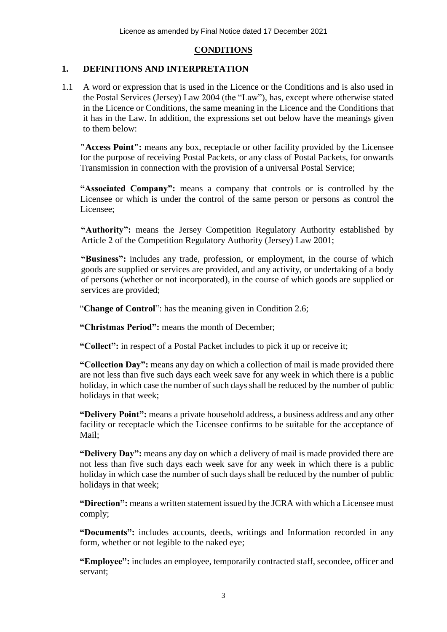# **CONDITIONS**

### **1. DEFINITIONS AND INTERPRETATION**

1.1 A word or expression that is used in the Licence or the Conditions and is also used in the Postal Services (Jersey) Law 2004 (the "Law"), has, except where otherwise stated in the Licence or Conditions, the same meaning in the Licence and the Conditions that it has in the Law. In addition, the expressions set out below have the meanings given to them below:

**"Access Point":** means any box, receptacle or other facility provided by the Licensee for the purpose of receiving Postal Packets, or any class of Postal Packets, for onwards Transmission in connection with the provision of a universal Postal Service;

**"Associated Company":** means a company that controls or is controlled by the Licensee or which is under the control of the same person or persons as control the Licensee;

**"Authority":** means the Jersey Competition Regulatory Authority established by Article 2 of the Competition Regulatory Authority (Jersey) Law 2001;

**"Business":** includes any trade, profession, or employment, in the course of which goods are supplied or services are provided, and any activity, or undertaking of a body of persons (whether or not incorporated), in the course of which goods are supplied or services are provided;

"**Change of Control**": has the meaning given in Condition 2.6;

**"Christmas Period":** means the month of December;

**"Collect":** in respect of a Postal Packet includes to pick it up or receive it;

**"Collection Day":** means any day on which a collection of mail is made provided there are not less than five such days each week save for any week in which there is a public holiday, in which case the number of such days shall be reduced by the number of public holidays in that week;

**"Delivery Point":** means a private household address, a business address and any other facility or receptacle which the Licensee confirms to be suitable for the acceptance of Mail;

**"Delivery Day":** means any day on which a delivery of mail is made provided there are not less than five such days each week save for any week in which there is a public holiday in which case the number of such days shall be reduced by the number of public holidays in that week;

**"Direction":** means a written statement issued by the JCRA with which a Licensee must comply;

**"Documents":** includes accounts, deeds, writings and Information recorded in any form, whether or not legible to the naked eye;

**"Employee":** includes an employee, temporarily contracted staff, secondee, officer and servant;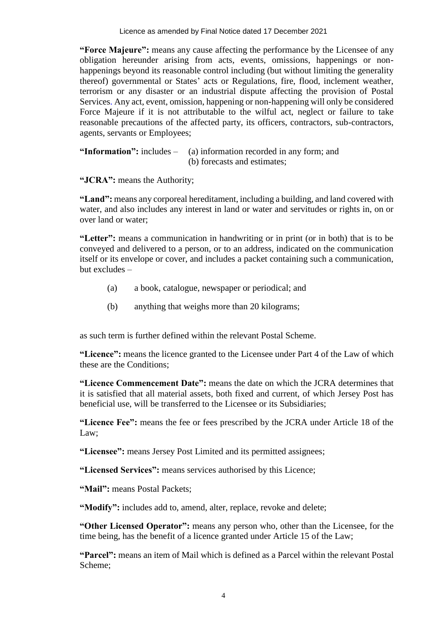**"Force Majeure":** means any cause affecting the performance by the Licensee of any obligation hereunder arising from acts, events, omissions, happenings or nonhappenings beyond its reasonable control including (but without limiting the generality thereof) governmental or States' acts or Regulations, fire, flood, inclement weather, terrorism or any disaster or an industrial dispute affecting the provision of Postal Services. Any act, event, omission, happening or non-happening will only be considered Force Majeure if it is not attributable to the wilful act, neglect or failure to take reasonable precautions of the affected party, its officers, contractors, sub-contractors, agents, servants or Employees;

**"Information":** includes – (a) information recorded in any form; and (b) forecasts and estimates;

**"JCRA":** means the Authority;

**"Land":** means any corporeal hereditament, including a building, and land covered with water, and also includes any interest in land or water and servitudes or rights in, on or over land or water;

**"Letter":** means a communication in handwriting or in print (or in both) that is to be conveyed and delivered to a person, or to an address, indicated on the communication itself or its envelope or cover, and includes a packet containing such a communication, but excludes –

- (a) a book, catalogue, newspaper or periodical; and
- (b) anything that weighs more than 20 kilograms;

as such term is further defined within the relevant Postal Scheme.

**"Licence":** means the licence granted to the Licensee under Part 4 of the Law of which these are the Conditions;

**"Licence Commencement Date":** means the date on which the JCRA determines that it is satisfied that all material assets, both fixed and current, of which Jersey Post has beneficial use, will be transferred to the Licensee or its Subsidiaries;

**"Licence Fee":** means the fee or fees prescribed by the JCRA under Article 18 of the Law;

**"Licensee":** means Jersey Post Limited and its permitted assignees;

**"Licensed Services":** means services authorised by this Licence;

**"Mail":** means Postal Packets;

**"Modify":** includes add to, amend, alter, replace, revoke and delete;

**"Other Licensed Operator":** means any person who, other than the Licensee, for the time being, has the benefit of a licence granted under Article 15 of the Law;

**"Parcel":** means an item of Mail which is defined as a Parcel within the relevant Postal Scheme;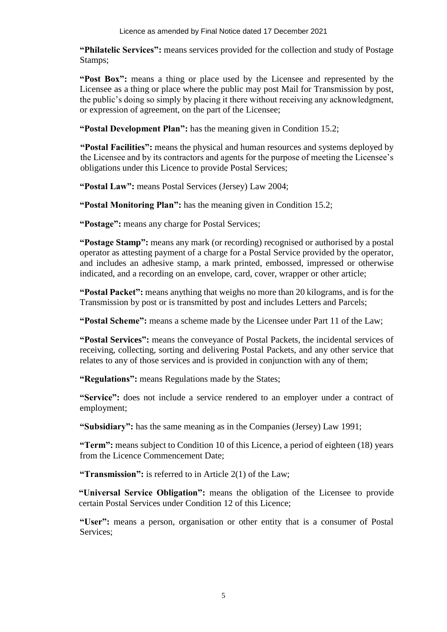**"Philatelic Services":** means services provided for the collection and study of Postage Stamps;

**"Post Box":** means a thing or place used by the Licensee and represented by the Licensee as a thing or place where the public may post Mail for Transmission by post, the public's doing so simply by placing it there without receiving any acknowledgment, or expression of agreement, on the part of the Licensee;

**"Postal Development Plan":** has the meaning given in Condition 15.2;

**"Postal Facilities":** means the physical and human resources and systems deployed by the Licensee and by its contractors and agents for the purpose of meeting the Licensee's obligations under this Licence to provide Postal Services;

**"Postal Law":** means Postal Services (Jersey) Law 2004;

**"Postal Monitoring Plan":** has the meaning given in Condition 15.2;

**"Postage":** means any charge for Postal Services;

**"Postage Stamp":** means any mark (or recording) recognised or authorised by a postal operator as attesting payment of a charge for a Postal Service provided by the operator, and includes an adhesive stamp, a mark printed, embossed, impressed or otherwise indicated, and a recording on an envelope, card, cover, wrapper or other article;

**"Postal Packet":** means anything that weighs no more than 20 kilograms, and is for the Transmission by post or is transmitted by post and includes Letters and Parcels;

**"Postal Scheme":** means a scheme made by the Licensee under Part 11 of the Law;

**"Postal Services":** means the conveyance of Postal Packets, the incidental services of receiving, collecting, sorting and delivering Postal Packets, and any other service that relates to any of those services and is provided in conjunction with any of them;

**"Regulations":** means Regulations made by the States;

**"Service":** does not include a service rendered to an employer under a contract of employment;

**"Subsidiary":** has the same meaning as in the Companies (Jersey) Law 1991;

**"Term":** means subject to Condition 10 of this Licence, a period of eighteen (18) years from the Licence Commencement Date;

**"Transmission":** is referred to in Article 2(1) of the Law;

**"Universal Service Obligation":** means the obligation of the Licensee to provide certain Postal Services under Condition 12 of this Licence;

**"User":** means a person, organisation or other entity that is a consumer of Postal Services;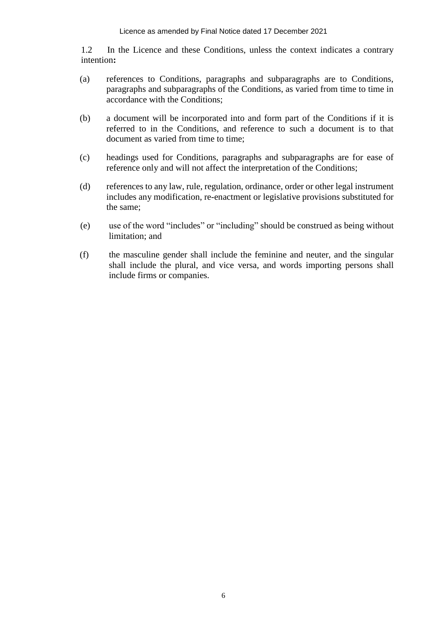1.2 In the Licence and these Conditions, unless the context indicates a contrary intention**:**

- (a) references to Conditions, paragraphs and subparagraphs are to Conditions, paragraphs and subparagraphs of the Conditions, as varied from time to time in accordance with the Conditions;
- (b) a document will be incorporated into and form part of the Conditions if it is referred to in the Conditions, and reference to such a document is to that document as varied from time to time;
- (c) headings used for Conditions, paragraphs and subparagraphs are for ease of reference only and will not affect the interpretation of the Conditions;
- (d) references to any law, rule, regulation, ordinance, order or other legal instrument includes any modification, re-enactment or legislative provisions substituted for the same;
- (e) use of the word "includes" or "including" should be construed as being without limitation; and
- (f) the masculine gender shall include the feminine and neuter, and the singular shall include the plural, and vice versa, and words importing persons shall include firms or companies.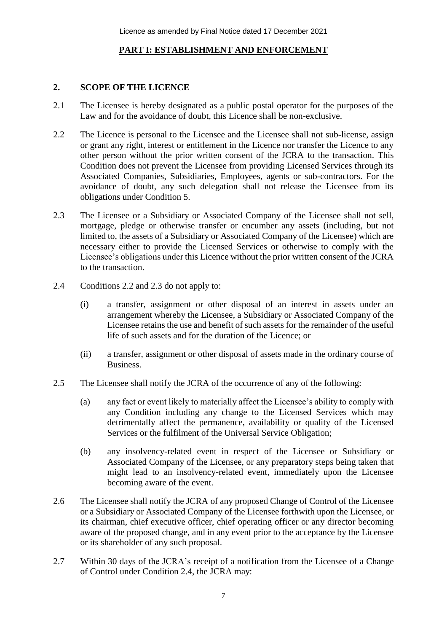# **PART I: ESTABLISHMENT AND ENFORCEMENT**

# **2. SCOPE OF THE LICENCE**

- 2.1 The Licensee is hereby designated as a public postal operator for the purposes of the Law and for the avoidance of doubt, this Licence shall be non-exclusive.
- 2.2 The Licence is personal to the Licensee and the Licensee shall not sub-license, assign or grant any right, interest or entitlement in the Licence nor transfer the Licence to any other person without the prior written consent of the JCRA to the transaction. This Condition does not prevent the Licensee from providing Licensed Services through its Associated Companies, Subsidiaries, Employees, agents or sub-contractors. For the avoidance of doubt, any such delegation shall not release the Licensee from its obligations under Condition 5.
- 2.3 The Licensee or a Subsidiary or Associated Company of the Licensee shall not sell, mortgage, pledge or otherwise transfer or encumber any assets (including, but not limited to, the assets of a Subsidiary or Associated Company of the Licensee) which are necessary either to provide the Licensed Services or otherwise to comply with the Licensee's obligations under this Licence without the prior written consent of the JCRA to the transaction.
- 2.4 Conditions 2.2 and 2.3 do not apply to:
	- (i) a transfer, assignment or other disposal of an interest in assets under an arrangement whereby the Licensee, a Subsidiary or Associated Company of the Licensee retains the use and benefit of such assets for the remainder of the useful life of such assets and for the duration of the Licence; or
	- (ii) a transfer, assignment or other disposal of assets made in the ordinary course of Business.
- 2.5 The Licensee shall notify the JCRA of the occurrence of any of the following:
	- (a) any fact or event likely to materially affect the Licensee's ability to comply with any Condition including any change to the Licensed Services which may detrimentally affect the permanence, availability or quality of the Licensed Services or the fulfilment of the Universal Service Obligation;
	- (b) any insolvency-related event in respect of the Licensee or Subsidiary or Associated Company of the Licensee, or any preparatory steps being taken that might lead to an insolvency-related event, immediately upon the Licensee becoming aware of the event.
- 2.6 The Licensee shall notify the JCRA of any proposed Change of Control of the Licensee or a Subsidiary or Associated Company of the Licensee forthwith upon the Licensee, or its chairman, chief executive officer, chief operating officer or any director becoming aware of the proposed change, and in any event prior to the acceptance by the Licensee or its shareholder of any such proposal.
- 2.7 Within 30 days of the JCRA's receipt of a notification from the Licensee of a Change of Control under Condition 2.4, the JCRA may: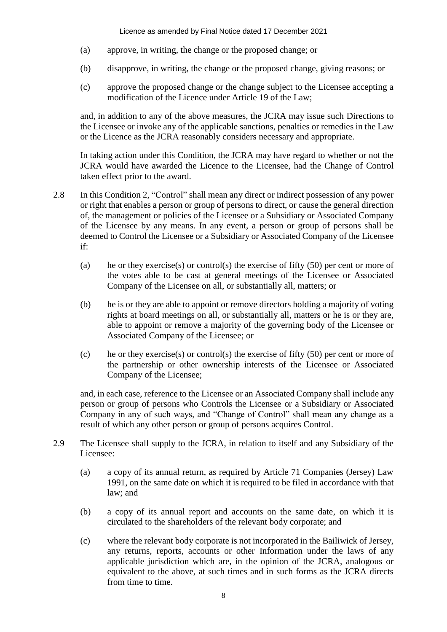- (a) approve, in writing, the change or the proposed change; or
- (b) disapprove, in writing, the change or the proposed change, giving reasons; or
- (c) approve the proposed change or the change subject to the Licensee accepting a modification of the Licence under Article 19 of the Law;

and, in addition to any of the above measures, the JCRA may issue such Directions to the Licensee or invoke any of the applicable sanctions, penalties or remedies in the Law or the Licence as the JCRA reasonably considers necessary and appropriate.

In taking action under this Condition, the JCRA may have regard to whether or not the JCRA would have awarded the Licence to the Licensee, had the Change of Control taken effect prior to the award.

- 2.8 In this Condition 2, "Control" shall mean any direct or indirect possession of any power or right that enables a person or group of persons to direct, or cause the general direction of, the management or policies of the Licensee or a Subsidiary or Associated Company of the Licensee by any means. In any event, a person or group of persons shall be deemed to Control the Licensee or a Subsidiary or Associated Company of the Licensee if:
	- (a) he or they exercise(s) or control(s) the exercise of fifty  $(50)$  per cent or more of the votes able to be cast at general meetings of the Licensee or Associated Company of the Licensee on all, or substantially all, matters; or
	- (b) he is or they are able to appoint or remove directors holding a majority of voting rights at board meetings on all, or substantially all, matters or he is or they are, able to appoint or remove a majority of the governing body of the Licensee or Associated Company of the Licensee; or
	- (c) he or they exercise(s) or control(s) the exercise of fifty (50) per cent or more of the partnership or other ownership interests of the Licensee or Associated Company of the Licensee;

and, in each case, reference to the Licensee or an Associated Company shall include any person or group of persons who Controls the Licensee or a Subsidiary or Associated Company in any of such ways, and "Change of Control" shall mean any change as a result of which any other person or group of persons acquires Control.

- 2.9 The Licensee shall supply to the JCRA, in relation to itself and any Subsidiary of the Licensee:
	- (a) a copy of its annual return, as required by Article 71 Companies (Jersey) Law 1991, on the same date on which it is required to be filed in accordance with that law; and
	- (b) a copy of its annual report and accounts on the same date, on which it is circulated to the shareholders of the relevant body corporate; and
	- (c) where the relevant body corporate is not incorporated in the Bailiwick of Jersey, any returns, reports, accounts or other Information under the laws of any applicable jurisdiction which are, in the opinion of the JCRA, analogous or equivalent to the above, at such times and in such forms as the JCRA directs from time to time.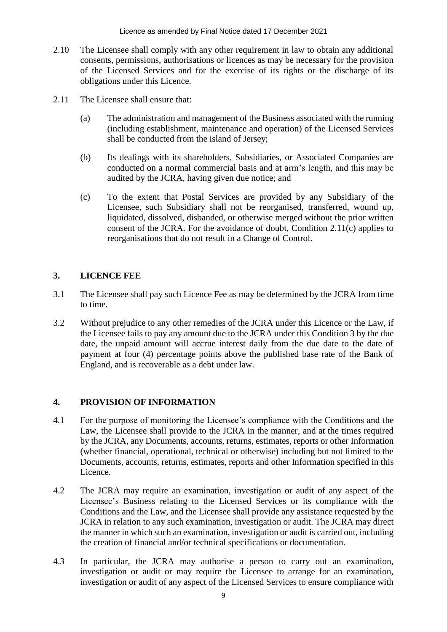- 2.10 The Licensee shall comply with any other requirement in law to obtain any additional consents, permissions, authorisations or licences as may be necessary for the provision of the Licensed Services and for the exercise of its rights or the discharge of its obligations under this Licence.
- 2.11 The Licensee shall ensure that:
	- (a) The administration and management of the Business associated with the running (including establishment, maintenance and operation) of the Licensed Services shall be conducted from the island of Jersey;
	- (b) Its dealings with its shareholders, Subsidiaries, or Associated Companies are conducted on a normal commercial basis and at arm's length, and this may be audited by the JCRA, having given due notice; and
	- (c) To the extent that Postal Services are provided by any Subsidiary of the Licensee, such Subsidiary shall not be reorganised, transferred, wound up, liquidated, dissolved, disbanded, or otherwise merged without the prior written consent of the JCRA. For the avoidance of doubt, Condition 2.11(c) applies to reorganisations that do not result in a Change of Control.

# **3. LICENCE FEE**

- 3.1 The Licensee shall pay such Licence Fee as may be determined by the JCRA from time to time.
- 3.2 Without prejudice to any other remedies of the JCRA under this Licence or the Law, if the Licensee fails to pay any amount due to the JCRA under this Condition 3 by the due date, the unpaid amount will accrue interest daily from the due date to the date of payment at four (4) percentage points above the published base rate of the Bank of England, and is recoverable as a debt under law.

# **4. PROVISION OF INFORMATION**

- 4.1 For the purpose of monitoring the Licensee's compliance with the Conditions and the Law, the Licensee shall provide to the JCRA in the manner, and at the times required by the JCRA, any Documents, accounts, returns, estimates, reports or other Information (whether financial, operational, technical or otherwise) including but not limited to the Documents, accounts, returns, estimates, reports and other Information specified in this Licence.
- 4.2 The JCRA may require an examination, investigation or audit of any aspect of the Licensee's Business relating to the Licensed Services or its compliance with the Conditions and the Law, and the Licensee shall provide any assistance requested by the JCRA in relation to any such examination, investigation or audit. The JCRA may direct the manner in which such an examination, investigation or audit is carried out, including the creation of financial and/or technical specifications or documentation.
- 4.3 In particular, the JCRA may authorise a person to carry out an examination, investigation or audit or may require the Licensee to arrange for an examination, investigation or audit of any aspect of the Licensed Services to ensure compliance with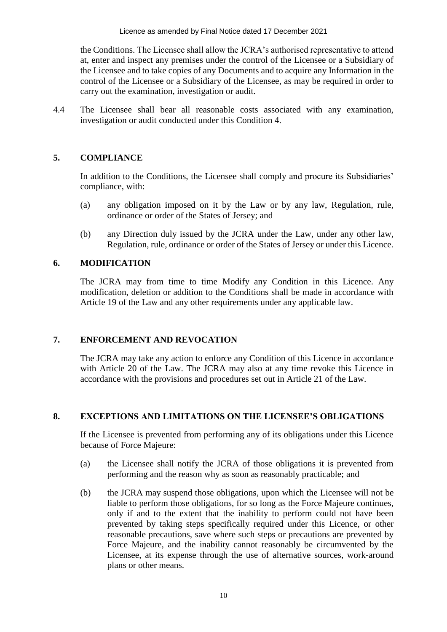the Conditions. The Licensee shall allow the JCRA's authorised representative to attend at, enter and inspect any premises under the control of the Licensee or a Subsidiary of the Licensee and to take copies of any Documents and to acquire any Information in the control of the Licensee or a Subsidiary of the Licensee, as may be required in order to carry out the examination, investigation or audit.

4.4 The Licensee shall bear all reasonable costs associated with any examination, investigation or audit conducted under this Condition 4.

# **5. COMPLIANCE**

In addition to the Conditions, the Licensee shall comply and procure its Subsidiaries' compliance, with:

- (a) any obligation imposed on it by the Law or by any law, Regulation, rule, ordinance or order of the States of Jersey; and
- (b) any Direction duly issued by the JCRA under the Law, under any other law, Regulation, rule, ordinance or order of the States of Jersey or under this Licence.

# **6. MODIFICATION**

The JCRA may from time to time Modify any Condition in this Licence. Any modification, deletion or addition to the Conditions shall be made in accordance with Article 19 of the Law and any other requirements under any applicable law.

# **7. ENFORCEMENT AND REVOCATION**

The JCRA may take any action to enforce any Condition of this Licence in accordance with Article 20 of the Law. The JCRA may also at any time revoke this Licence in accordance with the provisions and procedures set out in Article 21 of the Law.

# **8. EXCEPTIONS AND LIMITATIONS ON THE LICENSEE'S OBLIGATIONS**

If the Licensee is prevented from performing any of its obligations under this Licence because of Force Majeure:

- (a) the Licensee shall notify the JCRA of those obligations it is prevented from performing and the reason why as soon as reasonably practicable; and
- (b) the JCRA may suspend those obligations, upon which the Licensee will not be liable to perform those obligations, for so long as the Force Majeure continues, only if and to the extent that the inability to perform could not have been prevented by taking steps specifically required under this Licence, or other reasonable precautions, save where such steps or precautions are prevented by Force Majeure, and the inability cannot reasonably be circumvented by the Licensee, at its expense through the use of alternative sources, work-around plans or other means.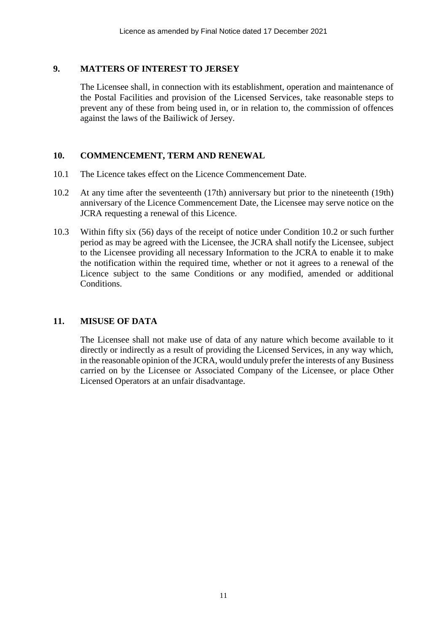### **9. MATTERS OF INTEREST TO JERSEY**

The Licensee shall, in connection with its establishment, operation and maintenance of the Postal Facilities and provision of the Licensed Services, take reasonable steps to prevent any of these from being used in, or in relation to, the commission of offences against the laws of the Bailiwick of Jersey.

#### **10. COMMENCEMENT, TERM AND RENEWAL**

- 10.1 The Licence takes effect on the Licence Commencement Date.
- 10.2 At any time after the seventeenth (17th) anniversary but prior to the nineteenth (19th) anniversary of the Licence Commencement Date, the Licensee may serve notice on the JCRA requesting a renewal of this Licence.
- 10.3 Within fifty six (56) days of the receipt of notice under Condition 10.2 or such further period as may be agreed with the Licensee, the JCRA shall notify the Licensee, subject to the Licensee providing all necessary Information to the JCRA to enable it to make the notification within the required time, whether or not it agrees to a renewal of the Licence subject to the same Conditions or any modified, amended or additional Conditions.

# **11. MISUSE OF DATA**

The Licensee shall not make use of data of any nature which become available to it directly or indirectly as a result of providing the Licensed Services, in any way which, in the reasonable opinion of the JCRA, would unduly prefer the interests of any Business carried on by the Licensee or Associated Company of the Licensee, or place Other Licensed Operators at an unfair disadvantage.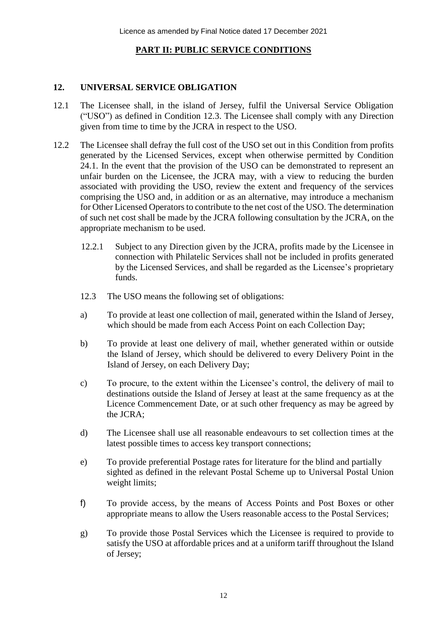# **PART II: PUBLIC SERVICE CONDITIONS**

# **12. UNIVERSAL SERVICE OBLIGATION**

- 12.1 The Licensee shall, in the island of Jersey, fulfil the Universal Service Obligation ("USO") as defined in Condition 12.3. The Licensee shall comply with any Direction given from time to time by the JCRA in respect to the USO.
- 12.2 The Licensee shall defray the full cost of the USO set out in this Condition from profits generated by the Licensed Services, except when otherwise permitted by Condition 24.1. In the event that the provision of the USO can be demonstrated to represent an unfair burden on the Licensee, the JCRA may, with a view to reducing the burden associated with providing the USO, review the extent and frequency of the services comprising the USO and, in addition or as an alternative, may introduce a mechanism for Other Licensed Operators to contribute to the net cost of the USO. The determination of such net cost shall be made by the JCRA following consultation by the JCRA, on the appropriate mechanism to be used.
	- 12.2.1 Subject to any Direction given by the JCRA, profits made by the Licensee in connection with Philatelic Services shall not be included in profits generated by the Licensed Services, and shall be regarded as the Licensee's proprietary funds.
	- 12.3 The USO means the following set of obligations:
	- a) To provide at least one collection of mail, generated within the Island of Jersey, which should be made from each Access Point on each Collection Day;
	- b) To provide at least one delivery of mail, whether generated within or outside the Island of Jersey, which should be delivered to every Delivery Point in the Island of Jersey, on each Delivery Day;
	- c) To procure, to the extent within the Licensee's control, the delivery of mail to destinations outside the Island of Jersey at least at the same frequency as at the Licence Commencement Date, or at such other frequency as may be agreed by the JCRA;
	- d) The Licensee shall use all reasonable endeavours to set collection times at the latest possible times to access key transport connections;
	- e) To provide preferential Postage rates for literature for the blind and partially sighted as defined in the relevant Postal Scheme up to Universal Postal Union weight limits;
	- f) To provide access, by the means of Access Points and Post Boxes or other appropriate means to allow the Users reasonable access to the Postal Services;
	- g) To provide those Postal Services which the Licensee is required to provide to satisfy the USO at affordable prices and at a uniform tariff throughout the Island of Jersey;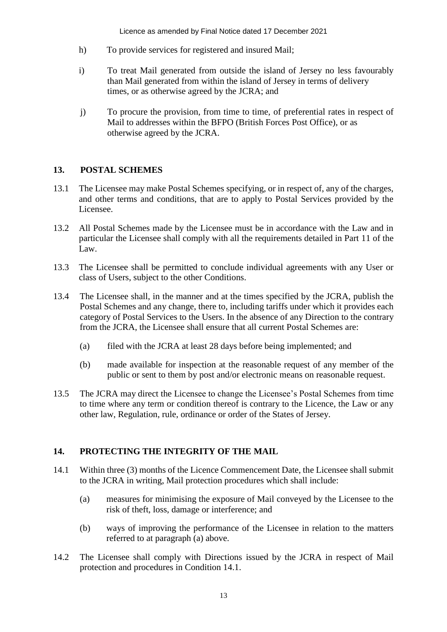- h) To provide services for registered and insured Mail;
- i) To treat Mail generated from outside the island of Jersey no less favourably than Mail generated from within the island of Jersey in terms of delivery times, or as otherwise agreed by the JCRA; and
- j) To procure the provision, from time to time, of preferential rates in respect of Mail to addresses within the BFPO (British Forces Post Office), or as otherwise agreed by the JCRA.

# **13. POSTAL SCHEMES**

- 13.1 The Licensee may make Postal Schemes specifying, or in respect of, any of the charges, and other terms and conditions, that are to apply to Postal Services provided by the Licensee.
- 13.2 All Postal Schemes made by the Licensee must be in accordance with the Law and in particular the Licensee shall comply with all the requirements detailed in Part 11 of the Law.
- 13.3 The Licensee shall be permitted to conclude individual agreements with any User or class of Users, subject to the other Conditions.
- 13.4 The Licensee shall, in the manner and at the times specified by the JCRA, publish the Postal Schemes and any change, there to, including tariffs under which it provides each category of Postal Services to the Users. In the absence of any Direction to the contrary from the JCRA, the Licensee shall ensure that all current Postal Schemes are:
	- (a) filed with the JCRA at least 28 days before being implemented; and
	- (b) made available for inspection at the reasonable request of any member of the public or sent to them by post and/or electronic means on reasonable request.
- 13.5 The JCRA may direct the Licensee to change the Licensee's Postal Schemes from time to time where any term or condition thereof is contrary to the Licence, the Law or any other law, Regulation, rule, ordinance or order of the States of Jersey.

# **14. PROTECTING THE INTEGRITY OF THE MAIL**

- 14.1 Within three (3) months of the Licence Commencement Date, the Licensee shall submit to the JCRA in writing, Mail protection procedures which shall include:
	- (a) measures for minimising the exposure of Mail conveyed by the Licensee to the risk of theft, loss, damage or interference; and
	- (b) ways of improving the performance of the Licensee in relation to the matters referred to at paragraph (a) above.
- 14.2 The Licensee shall comply with Directions issued by the JCRA in respect of Mail protection and procedures in Condition 14.1.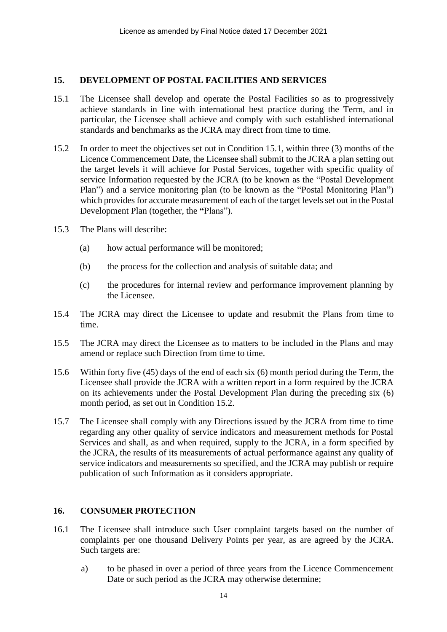#### **15. DEVELOPMENT OF POSTAL FACILITIES AND SERVICES**

- 15.1 The Licensee shall develop and operate the Postal Facilities so as to progressively achieve standards in line with international best practice during the Term, and in particular, the Licensee shall achieve and comply with such established international standards and benchmarks as the JCRA may direct from time to time.
- 15.2 In order to meet the objectives set out in Condition 15.1, within three (3) months of the Licence Commencement Date, the Licensee shall submit to the JCRA a plan setting out the target levels it will achieve for Postal Services, together with specific quality of service Information requested by the JCRA (to be known as the "Postal Development Plan") and a service monitoring plan (to be known as the "Postal Monitoring Plan") which provides for accurate measurement of each of the target levels set out in the Postal Development Plan (together, the **"**Plans").
- 15.3 The Plans will describe:
	- (a) how actual performance will be monitored;
	- (b) the process for the collection and analysis of suitable data; and
	- (c) the procedures for internal review and performance improvement planning by the Licensee.
- 15.4 The JCRA may direct the Licensee to update and resubmit the Plans from time to time.
- 15.5 The JCRA may direct the Licensee as to matters to be included in the Plans and may amend or replace such Direction from time to time.
- 15.6 Within forty five (45) days of the end of each six (6) month period during the Term, the Licensee shall provide the JCRA with a written report in a form required by the JCRA on its achievements under the Postal Development Plan during the preceding six (6) month period, as set out in Condition 15.2.
- 15.7 The Licensee shall comply with any Directions issued by the JCRA from time to time regarding any other quality of service indicators and measurement methods for Postal Services and shall, as and when required, supply to the JCRA, in a form specified by the JCRA, the results of its measurements of actual performance against any quality of service indicators and measurements so specified, and the JCRA may publish or require publication of such Information as it considers appropriate.

# **16. CONSUMER PROTECTION**

- 16.1 The Licensee shall introduce such User complaint targets based on the number of complaints per one thousand Delivery Points per year, as are agreed by the JCRA. Such targets are:
	- a) to be phased in over a period of three years from the Licence Commencement Date or such period as the JCRA may otherwise determine;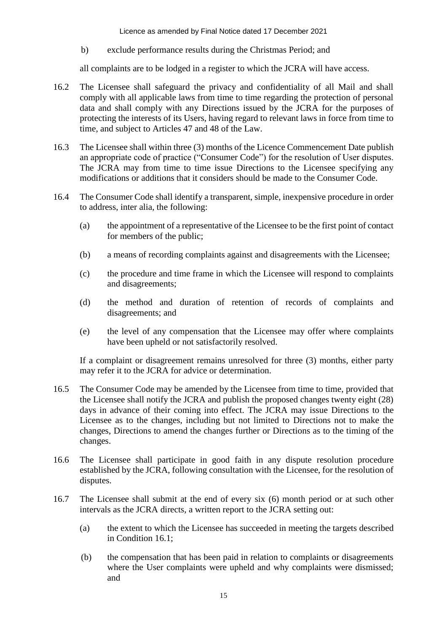b) exclude performance results during the Christmas Period; and

all complaints are to be lodged in a register to which the JCRA will have access.

- 16.2 The Licensee shall safeguard the privacy and confidentiality of all Mail and shall comply with all applicable laws from time to time regarding the protection of personal data and shall comply with any Directions issued by the JCRA for the purposes of protecting the interests of its Users, having regard to relevant laws in force from time to time, and subject to Articles 47 and 48 of the Law.
- 16.3 The Licensee shall within three (3) months of the Licence Commencement Date publish an appropriate code of practice ("Consumer Code") for the resolution of User disputes. The JCRA may from time to time issue Directions to the Licensee specifying any modifications or additions that it considers should be made to the Consumer Code.
- 16.4 The Consumer Code shall identify a transparent, simple, inexpensive procedure in order to address, inter alia, the following:
	- (a) the appointment of a representative of the Licensee to be the first point of contact for members of the public;
	- (b) a means of recording complaints against and disagreements with the Licensee;
	- (c) the procedure and time frame in which the Licensee will respond to complaints and disagreements;
	- (d) the method and duration of retention of records of complaints and disagreements; and
	- (e) the level of any compensation that the Licensee may offer where complaints have been upheld or not satisfactorily resolved.

If a complaint or disagreement remains unresolved for three (3) months, either party may refer it to the JCRA for advice or determination.

- 16.5 The Consumer Code may be amended by the Licensee from time to time, provided that the Licensee shall notify the JCRA and publish the proposed changes twenty eight (28) days in advance of their coming into effect. The JCRA may issue Directions to the Licensee as to the changes, including but not limited to Directions not to make the changes, Directions to amend the changes further or Directions as to the timing of the changes.
- 16.6 The Licensee shall participate in good faith in any dispute resolution procedure established by the JCRA, following consultation with the Licensee, for the resolution of disputes.
- 16.7 The Licensee shall submit at the end of every six (6) month period or at such other intervals as the JCRA directs, a written report to the JCRA setting out:
	- (a) the extent to which the Licensee has succeeded in meeting the targets described in Condition 16.1;
	- (b) the compensation that has been paid in relation to complaints or disagreements where the User complaints were upheld and why complaints were dismissed; and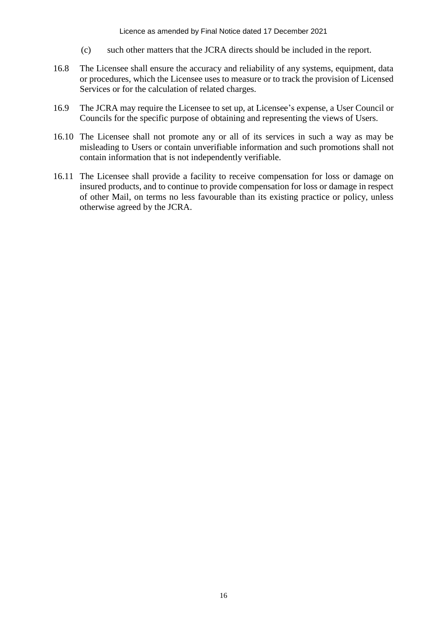- (c) such other matters that the JCRA directs should be included in the report.
- 16.8 The Licensee shall ensure the accuracy and reliability of any systems, equipment, data or procedures, which the Licensee uses to measure or to track the provision of Licensed Services or for the calculation of related charges.
- 16.9 The JCRA may require the Licensee to set up, at Licensee's expense, a User Council or Councils for the specific purpose of obtaining and representing the views of Users.
- 16.10 The Licensee shall not promote any or all of its services in such a way as may be misleading to Users or contain unverifiable information and such promotions shall not contain information that is not independently verifiable.
- 16.11 The Licensee shall provide a facility to receive compensation for loss or damage on insured products, and to continue to provide compensation for loss or damage in respect of other Mail, on terms no less favourable than its existing practice or policy, unless otherwise agreed by the JCRA.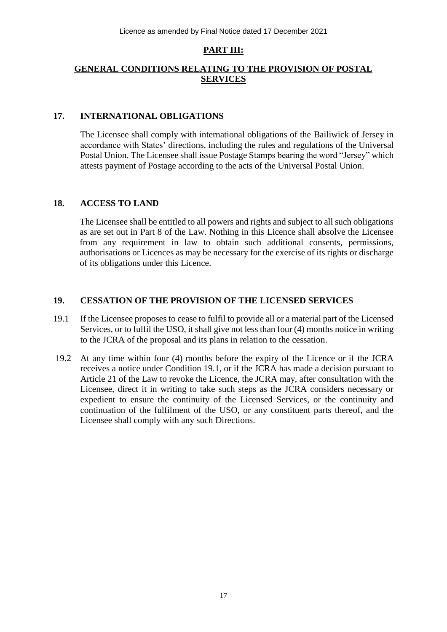# **PART III:**

# **GENERAL CONDITIONS RELATING TO THE PROVISION OF POSTAL SERVICES**

# **17. INTERNATIONAL OBLIGATIONS**

The Licensee shall comply with international obligations of the Bailiwick of Jersey in accordance with States' directions, including the rules and regulations of the Universal Postal Union. The Licensee shall issue Postage Stamps bearing the word "Jersey" which attests payment of Postage according to the acts of the Universal Postal Union.

### **18. ACCESS TO LAND**

The Licensee shall be entitled to all powers and rights and subject to all such obligations as are set out in Part 8 of the Law. Nothing in this Licence shall absolve the Licensee from any requirement in law to obtain such additional consents, permissions, authorisations or Licences as may be necessary for the exercise of its rights or discharge of its obligations under this Licence.

# **19. CESSATION OF THE PROVISION OF THE LICENSED SERVICES**

- 19.1 If the Licensee proposes to cease to fulfil to provide all or a material part of the Licensed Services, or to fulfil the USO, it shall give not less than four (4) months notice in writing to the JCRA of the proposal and its plans in relation to the cessation.
- 19.2 At any time within four (4) months before the expiry of the Licence or if the JCRA receives a notice under Condition 19.1, or if the JCRA has made a decision pursuant to Article 21 of the Law to revoke the Licence, the JCRA may, after consultation with the Licensee, direct it in writing to take such steps as the JCRA considers necessary or expedient to ensure the continuity of the Licensed Services, or the continuity and continuation of the fulfilment of the USO, or any constituent parts thereof, and the Licensee shall comply with any such Directions.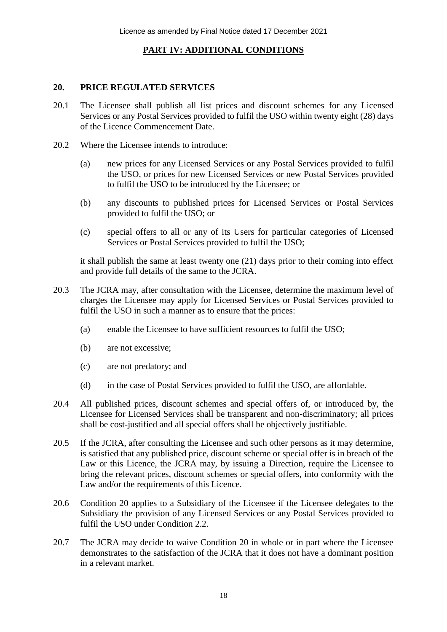# **PART IV: ADDITIONAL CONDITIONS**

# **20. PRICE REGULATED SERVICES**

- 20.1 The Licensee shall publish all list prices and discount schemes for any Licensed Services or any Postal Services provided to fulfil the USO within twenty eight (28) days of the Licence Commencement Date.
- 20.2 Where the Licensee intends to introduce:
	- (a) new prices for any Licensed Services or any Postal Services provided to fulfil the USO, or prices for new Licensed Services or new Postal Services provided to fulfil the USO to be introduced by the Licensee; or
	- (b) any discounts to published prices for Licensed Services or Postal Services provided to fulfil the USO; or
	- (c) special offers to all or any of its Users for particular categories of Licensed Services or Postal Services provided to fulfil the USO;

it shall publish the same at least twenty one (21) days prior to their coming into effect and provide full details of the same to the JCRA.

- 20.3 The JCRA may, after consultation with the Licensee, determine the maximum level of charges the Licensee may apply for Licensed Services or Postal Services provided to fulfil the USO in such a manner as to ensure that the prices:
	- (a) enable the Licensee to have sufficient resources to fulfil the USO;
	- (b) are not excessive;
	- (c) are not predatory; and
	- (d) in the case of Postal Services provided to fulfil the USO, are affordable.
- 20.4 All published prices, discount schemes and special offers of, or introduced by, the Licensee for Licensed Services shall be transparent and non-discriminatory; all prices shall be cost-justified and all special offers shall be objectively justifiable.
- 20.5 If the JCRA, after consulting the Licensee and such other persons as it may determine, is satisfied that any published price, discount scheme or special offer is in breach of the Law or this Licence, the JCRA may, by issuing a Direction, require the Licensee to bring the relevant prices, discount schemes or special offers, into conformity with the Law and/or the requirements of this Licence.
- 20.6 Condition 20 applies to a Subsidiary of the Licensee if the Licensee delegates to the Subsidiary the provision of any Licensed Services or any Postal Services provided to fulfil the USO under Condition 2.2.
- 20.7 The JCRA may decide to waive Condition 20 in whole or in part where the Licensee demonstrates to the satisfaction of the JCRA that it does not have a dominant position in a relevant market.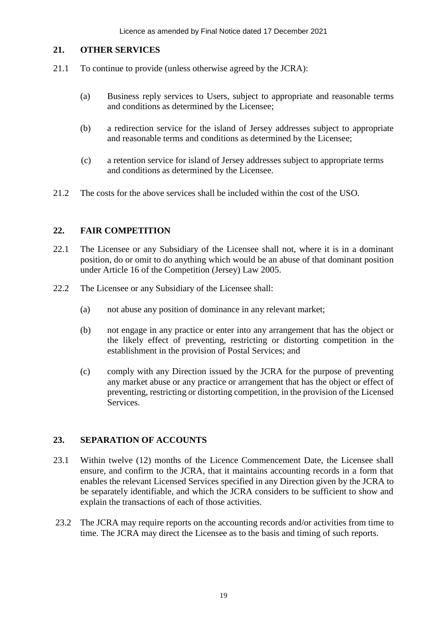#### **21. OTHER SERVICES**

- 21.1 To continue to provide (unless otherwise agreed by the JCRA):
	- (a) Business reply services to Users, subject to appropriate and reasonable terms and conditions as determined by the Licensee;
	- (b) a redirection service for the island of Jersey addresses subject to appropriate and reasonable terms and conditions as determined by the Licensee;
	- (c) a retention service for island of Jersey addresses subject to appropriate terms and conditions as determined by the Licensee.
- 21.2 The costs for the above services shall be included within the cost of the USO.

# **22. FAIR COMPETITION**

- 22.1 The Licensee or any Subsidiary of the Licensee shall not, where it is in a dominant position, do or omit to do anything which would be an abuse of that dominant position under Article 16 of the Competition (Jersey) Law 2005.
- 22.2 The Licensee or any Subsidiary of the Licensee shall:
	- (a) not abuse any position of dominance in any relevant market;
	- (b) not engage in any practice or enter into any arrangement that has the object or the likely effect of preventing, restricting or distorting competition in the establishment in the provision of Postal Services; and
	- (c) comply with any Direction issued by the JCRA for the purpose of preventing any market abuse or any practice or arrangement that has the object or effect of preventing, restricting or distorting competition, in the provision of the Licensed Services.

# **23. SEPARATION OF ACCOUNTS**

- 23.1 Within twelve (12) months of the Licence Commencement Date, the Licensee shall ensure, and confirm to the JCRA, that it maintains accounting records in a form that enables the relevant Licensed Services specified in any Direction given by the JCRA to be separately identifiable, and which the JCRA considers to be sufficient to show and explain the transactions of each of those activities.
- 23.2 The JCRA may require reports on the accounting records and/or activities from time to time. The JCRA may direct the Licensee as to the basis and timing of such reports.